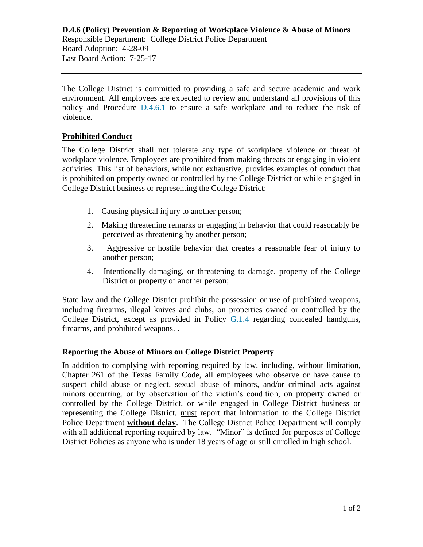The College District is committed to providing a safe and secure academic and work environment. All employees are expected to review and understand all provisions of this policy and Procedure [D.4.6.1](https://www.alamo.edu/siteassets/district/about-us/leadership/board-of-trustees/policies-pdfs/section-d/d.4.6.1-procedure.pdf) to ensure a safe workplace and to reduce the risk of violence.

## **Prohibited Conduct**

The College District shall not tolerate any type of workplace violence or threat of workplace violence. Employees are prohibited from making threats or engaging in violent activities. This list of behaviors, while not exhaustive, provides examples of conduct that is prohibited on property owned or controlled by the College District or while engaged in College District business or representing the College District:

- 1. Causing physical injury to another person;
- 2. Making threatening remarks or engaging in behavior that could reasonably be perceived as threatening by another person;
- 3. Aggressive or hostile behavior that creates a reasonable fear of injury to another person;
- 4. Intentionally damaging, or threatening to damage, property of the College District or property of another person;

State law and the College District prohibit the possession or use of prohibited weapons, including firearms, illegal knives and clubs, on properties owned or controlled by the College District, except as provided in Policy [G.1.4](https://www.alamo.edu/siteassets/district/about-us/leadership/board-of-trustees/policies-pdfs/section-g/g.1.4-policy2.pdf) regarding concealed handguns, firearms, and prohibited weapons. .

## **Reporting the Abuse of Minors on College District Property**

In addition to complying with reporting required by law, including, without limitation, Chapter 261 of the Texas Family Code, all employees who observe or have cause to suspect child abuse or neglect, sexual abuse of minors, and/or criminal acts against minors occurring, or by observation of the victim's condition, on property owned or controlled by the College District, or while engaged in College District business or representing the College District, must report that information to the College District Police Department **without delay**. The College District Police Department will comply with all additional reporting required by law. "Minor" is defined for purposes of College District Policies as anyone who is under 18 years of age or still enrolled in high school.